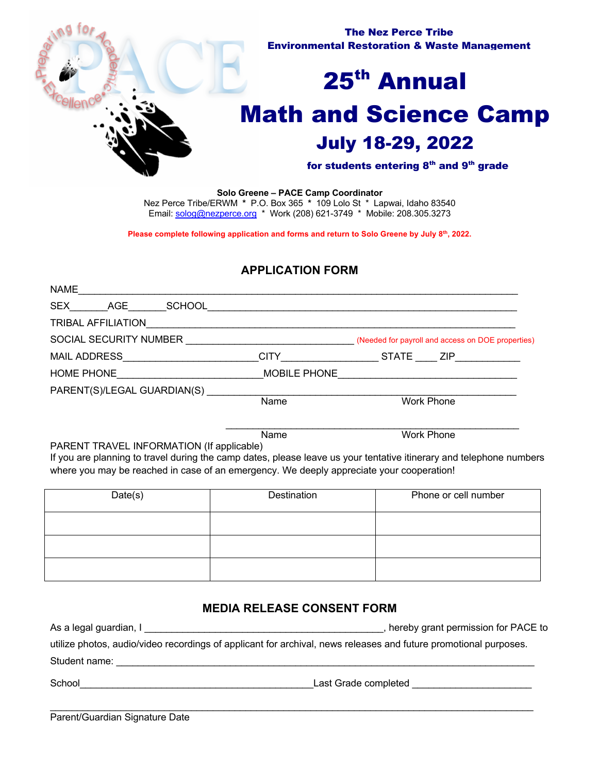

**Solo Greene – PACE Camp Coordinator** Nez Perce Tribe/ERWM **\*** P.O. Box 365 **\*** 109 Lolo St \* Lapwai, Idaho 83540 Email: solog@nezperce.org \* Work (208) 621-3749 \* Mobile: 208.305.3273

Please complete following application and forms and return to Solo Greene by July 8<sup>th</sup>, 2022.

## **APPLICATION FORM**

| <b>NAME</b>                                          |                                                                                                                  |                                                   |
|------------------------------------------------------|------------------------------------------------------------------------------------------------------------------|---------------------------------------------------|
| SEX<br>SCHOOL<br>AGE                                 |                                                                                                                  |                                                   |
| <b>TRIBAL AFFILIATION</b>                            | and the control of the control of the control of the control of the control of the control of the control of the |                                                   |
| SOCIAL SECURITY NUMBER <b>SOCIAL SECURITY NUMBER</b> |                                                                                                                  | (Needed for payroll and access on DOE properties) |
| <b>MAIL ADDRESS</b>                                  | <b>CITY Example 2018</b>                                                                                         | STATE ZIP                                         |
| HOME PHONE <b>All Accounts</b>                       | MOBILE PHONE                                                                                                     |                                                   |
| PARENT(S)/LEGAL GUARDIAN(S)                          |                                                                                                                  |                                                   |
|                                                      | Name                                                                                                             | Work Phone                                        |
|                                                      |                                                                                                                  |                                                   |
|                                                      | Name                                                                                                             | Work Phone                                        |
| <b>DADENT TOAVEL INFODMATION (If conlicable)</b>     |                                                                                                                  |                                                   |

PARENT TRAVEL INFORMATION (If applicable) If you are planning to travel during the camp dates, please leave us your tentative itinerary and telephone numbers

where you may be reached in case of an emergency. We deeply appreciate your cooperation!

| Date(s) | Destination | Phone or cell number |  |  |
|---------|-------------|----------------------|--|--|
|         |             |                      |  |  |
|         |             |                      |  |  |
|         |             |                      |  |  |

### **MEDIA RELEASE CONSENT FORM**

| As a legal guardian, I                                                                                           | hereby grant permission for PACE to |
|------------------------------------------------------------------------------------------------------------------|-------------------------------------|
| utilize photos, audio/video recordings of applicant for archival, news releases and future promotional purposes. |                                     |
| Student name:                                                                                                    |                                     |
| School                                                                                                           | Last Grade completed                |

 $\mathcal{L}_\mathcal{L} = \mathcal{L}_\mathcal{L} = \mathcal{L}_\mathcal{L} = \mathcal{L}_\mathcal{L} = \mathcal{L}_\mathcal{L} = \mathcal{L}_\mathcal{L} = \mathcal{L}_\mathcal{L} = \mathcal{L}_\mathcal{L} = \mathcal{L}_\mathcal{L} = \mathcal{L}_\mathcal{L} = \mathcal{L}_\mathcal{L} = \mathcal{L}_\mathcal{L} = \mathcal{L}_\mathcal{L} = \mathcal{L}_\mathcal{L} = \mathcal{L}_\mathcal{L} = \mathcal{L}_\mathcal{L} = \mathcal{L}_\mathcal{L}$ 

Parent/Guardian Signature Date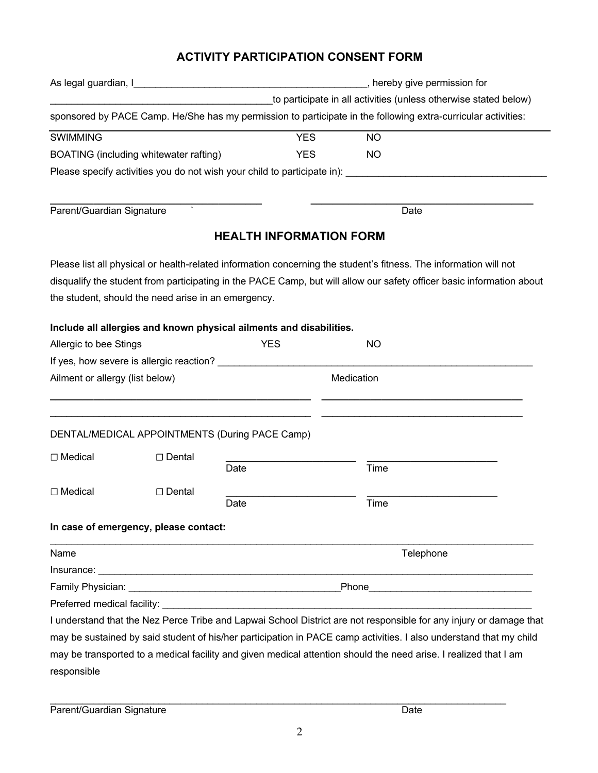# **ACTIVITY PARTICIPATION CONSENT FORM**

|                                 |                                                     |                                                                     |            | hereby give permission for |                                                                                                                       |  |
|---------------------------------|-----------------------------------------------------|---------------------------------------------------------------------|------------|----------------------------|-----------------------------------------------------------------------------------------------------------------------|--|
|                                 |                                                     | to participate in all activities (unless otherwise stated below)    |            |                            |                                                                                                                       |  |
|                                 |                                                     |                                                                     |            |                            | sponsored by PACE Camp. He/She has my permission to participate in the following extra-curricular activities:         |  |
| <b>SWIMMING</b>                 |                                                     | <b>YES</b>                                                          |            | <b>NO</b>                  |                                                                                                                       |  |
|                                 | BOATING (including whitewater rafting)              | <b>YES</b>                                                          |            | <b>NO</b>                  |                                                                                                                       |  |
|                                 |                                                     |                                                                     |            |                            |                                                                                                                       |  |
|                                 | $\mathbf{v}$                                        |                                                                     |            |                            |                                                                                                                       |  |
| Parent/Guardian Signature       |                                                     |                                                                     |            |                            | Date                                                                                                                  |  |
|                                 |                                                     | <b>HEALTH INFORMATION FORM</b>                                      |            |                            |                                                                                                                       |  |
|                                 |                                                     |                                                                     |            |                            | Please list all physical or health-related information concerning the student's fitness. The information will not     |  |
|                                 |                                                     |                                                                     |            |                            | disqualify the student from participating in the PACE Camp, but will allow our safety officer basic information about |  |
|                                 | the student, should the need arise in an emergency. |                                                                     |            |                            |                                                                                                                       |  |
|                                 |                                                     | Include all allergies and known physical ailments and disabilities. |            |                            |                                                                                                                       |  |
| Allergic to bee Stings          |                                                     | <b>YES</b>                                                          |            | <b>NO</b>                  |                                                                                                                       |  |
|                                 | If yes, how severe is allergic reaction?            |                                                                     |            |                            |                                                                                                                       |  |
| Ailment or allergy (list below) |                                                     |                                                                     | Medication |                            |                                                                                                                       |  |
|                                 |                                                     |                                                                     |            |                            |                                                                                                                       |  |
|                                 |                                                     | DENTAL/MEDICAL APPOINTMENTS (During PACE Camp)                      |            |                            |                                                                                                                       |  |
| □ Medical                       | □ Dental                                            |                                                                     |            |                            |                                                                                                                       |  |
|                                 |                                                     | Date                                                                |            | Time                       |                                                                                                                       |  |
|                                 |                                                     |                                                                     |            |                            |                                                                                                                       |  |
| $\Box$ Medical                  | □ Dental                                            | Date                                                                |            | Time                       |                                                                                                                       |  |
|                                 | In case of emergency, please contact:               |                                                                     |            |                            |                                                                                                                       |  |
| Name                            |                                                     |                                                                     |            |                            | Telephone                                                                                                             |  |
|                                 |                                                     |                                                                     |            |                            |                                                                                                                       |  |
|                                 |                                                     |                                                                     |            |                            |                                                                                                                       |  |
|                                 |                                                     |                                                                     |            |                            |                                                                                                                       |  |
|                                 |                                                     |                                                                     |            |                            | I understand that the Nez Perce Tribe and Lapwai School District are not responsible for any injury or damage that    |  |
|                                 |                                                     |                                                                     |            |                            | may be sustained by said student of his/her participation in PACE camp activities. I also understand that my child    |  |
|                                 |                                                     |                                                                     |            |                            | may be transported to a medical facility and given medical attention should the need arise. I realized that I am      |  |
| responsible                     |                                                     |                                                                     |            |                            |                                                                                                                       |  |

\_\_\_\_\_\_\_\_\_\_\_\_\_\_\_\_\_\_\_\_\_\_\_\_\_\_\_\_\_\_\_\_\_\_\_\_\_\_\_\_\_\_\_\_\_\_\_\_\_\_\_\_\_\_\_\_\_\_\_\_\_\_\_\_\_\_\_\_\_\_\_\_\_\_\_\_\_\_\_\_\_\_\_\_